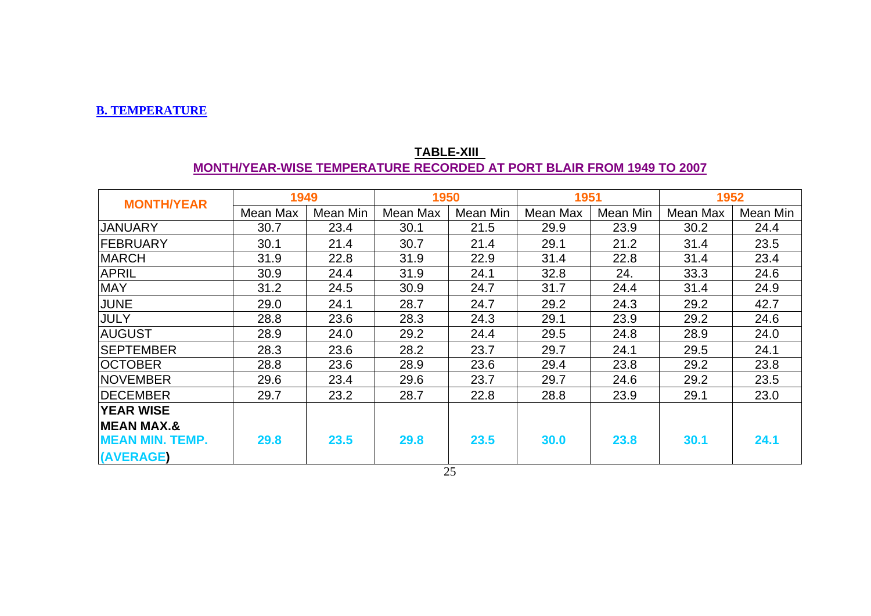#### **B. TEMPERATURE**

| <b>MONTH/YEAR</b>      | 1949     |          | 1950     |          | 1951     |          | 1952     |          |
|------------------------|----------|----------|----------|----------|----------|----------|----------|----------|
|                        | Mean Max | Mean Min | Mean Max | Mean Min | Mean Max | Mean Min | Mean Max | Mean Min |
| <b>JANUARY</b>         | 30.7     | 23.4     | 30.1     | 21.5     | 29.9     | 23.9     | 30.2     | 24.4     |
| <b>IFEBRUARY</b>       | 30.1     | 21.4     | 30.7     | 21.4     | 29.1     | 21.2     | 31.4     | 23.5     |
| <b>MARCH</b>           | 31.9     | 22.8     | 31.9     | 22.9     | 31.4     | 22.8     | 31.4     | 23.4     |
| <b>APRIL</b>           | 30.9     | 24.4     | 31.9     | 24.1     | 32.8     | 24.      | 33.3     | 24.6     |
| <b>MAY</b>             | 31.2     | 24.5     | 30.9     | 24.7     | 31.7     | 24.4     | 31.4     | 24.9     |
| JUNE                   | 29.0     | 24.1     | 28.7     | 24.7     | 29.2     | 24.3     | 29.2     | 42.7     |
| <b>JULY</b>            | 28.8     | 23.6     | 28.3     | 24.3     | 29.1     | 23.9     | 29.2     | 24.6     |
| <b>AUGUST</b>          | 28.9     | 24.0     | 29.2     | 24.4     | 29.5     | 24.8     | 28.9     | 24.0     |
| <b>ISEPTEMBER</b>      | 28.3     | 23.6     | 28.2     | 23.7     | 29.7     | 24.1     | 29.5     | 24.1     |
| <b>OCTOBER</b>         | 28.8     | 23.6     | 28.9     | 23.6     | 29.4     | 23.8     | 29.2     | 23.8     |
| <b>INOVEMBER</b>       | 29.6     | 23.4     | 29.6     | 23.7     | 29.7     | 24.6     | 29.2     | 23.5     |
| <b>IDECEMBER</b>       | 29.7     | 23.2     | 28.7     | 22.8     | 28.8     | 23.9     | 29.1     | 23.0     |
| <b>YEAR WISE</b>       |          |          |          |          |          |          |          |          |
| <b>MEAN MAX.&amp;</b>  |          |          |          |          |          |          |          |          |
| <b>MEAN MIN. TEMP.</b> | 29.8     | 23.5     | 29.8     | 23.5     | 30.0     | 23.8     | 30.1     | 24.1     |
| (AVERAGE)              |          |          |          |          |          |          |          |          |

#### **TABLE-XIII MONTH/YEAR-WISE TEMPERATURE RECORDED AT PORT BLAIR FROM 1949 TO 2007**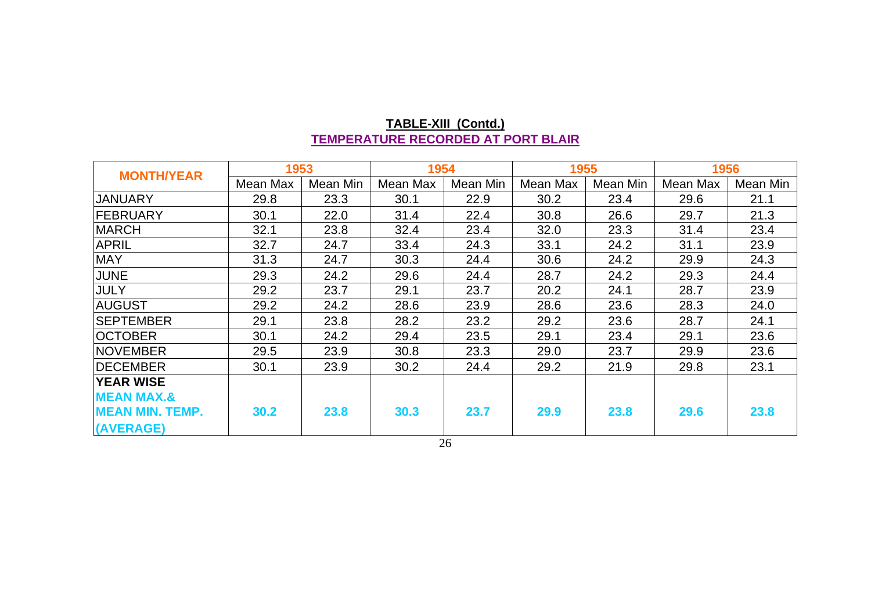| <b>MONTH/YEAR</b>      | 1953     |          | 1954     |          | 1955     |          | 1956     |          |
|------------------------|----------|----------|----------|----------|----------|----------|----------|----------|
|                        | Mean Max | Mean Min | Mean Max | Mean Min | Mean Max | Mean Min | Mean Max | Mean Min |
| JANUARY                | 29.8     | 23.3     | 30.1     | 22.9     | 30.2     | 23.4     | 29.6     | 21.1     |
| <b>FEBRUARY</b>        | 30.1     | 22.0     | 31.4     | 22.4     | 30.8     | 26.6     | 29.7     | 21.3     |
| <b>MARCH</b>           | 32.1     | 23.8     | 32.4     | 23.4     | 32.0     | 23.3     | 31.4     | 23.4     |
| <b>APRIL</b>           | 32.7     | 24.7     | 33.4     | 24.3     | 33.1     | 24.2     | 31.1     | 23.9     |
| <b>MAY</b>             | 31.3     | 24.7     | 30.3     | 24.4     | 30.6     | 24.2     | 29.9     | 24.3     |
| <b>JUNE</b>            | 29.3     | 24.2     | 29.6     | 24.4     | 28.7     | 24.2     | 29.3     | 24.4     |
| <b>JULY</b>            | 29.2     | 23.7     | 29.1     | 23.7     | 20.2     | 24.1     | 28.7     | 23.9     |
| <b>AUGUST</b>          | 29.2     | 24.2     | 28.6     | 23.9     | 28.6     | 23.6     | 28.3     | 24.0     |
| <b>SEPTEMBER</b>       | 29.1     | 23.8     | 28.2     | 23.2     | 29.2     | 23.6     | 28.7     | 24.1     |
| <b>OCTOBER</b>         | 30.1     | 24.2     | 29.4     | 23.5     | 29.1     | 23.4     | 29.1     | 23.6     |
| <b>NOVEMBER</b>        | 29.5     | 23.9     | 30.8     | 23.3     | 29.0     | 23.7     | 29.9     | 23.6     |
| <b>DECEMBER</b>        | 30.1     | 23.9     | 30.2     | 24.4     | 29.2     | 21.9     | 29.8     | 23.1     |
| <b>YEAR WISE</b>       |          |          |          |          |          |          |          |          |
| <b>MEAN MAX.&amp;</b>  |          |          |          |          |          |          |          |          |
| <b>MEAN MIN. TEMP.</b> | 30.2     | 23.8     | 30.3     | 23.7     | 29.9     | 23.8     | 29.6     | 23.8     |
| (AVERAGE)              |          |          |          |          |          |          |          |          |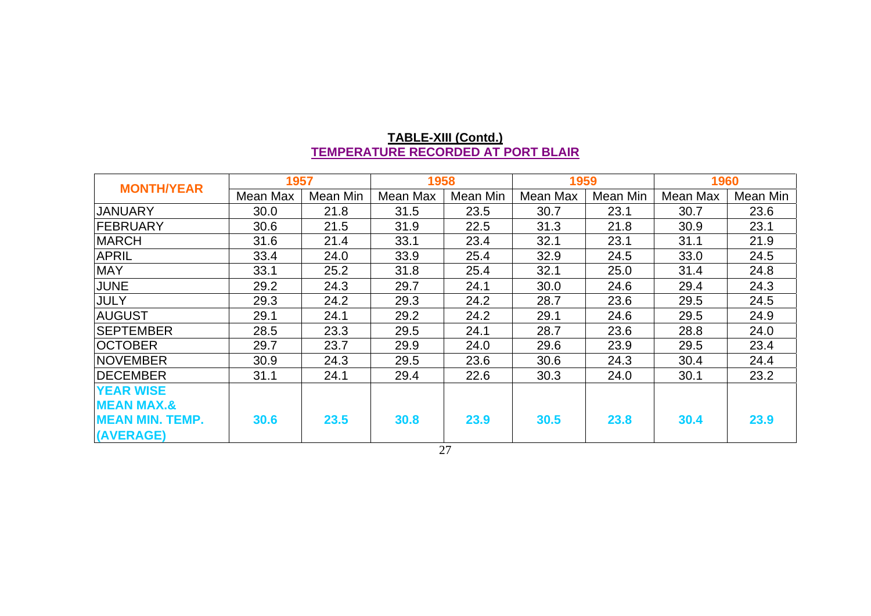| <b>MONTH/YEAR</b>      | 1957     |          |          | 1958<br>1959 |          | 1960     |          |          |
|------------------------|----------|----------|----------|--------------|----------|----------|----------|----------|
|                        | Mean Max | Mean Min | Mean Max | Mean Min     | Mean Max | Mean Min | Mean Max | Mean Min |
| <b>JANUARY</b>         | 30.0     | 21.8     | 31.5     | 23.5         | 30.7     | 23.1     | 30.7     | 23.6     |
| <b>FEBRUARY</b>        | 30.6     | 21.5     | 31.9     | 22.5         | 31.3     | 21.8     | 30.9     | 23.1     |
| <b>MARCH</b>           | 31.6     | 21.4     | 33.1     | 23.4         | 32.1     | 23.1     | 31.1     | 21.9     |
| <b>APRIL</b>           | 33.4     | 24.0     | 33.9     | 25.4         | 32.9     | 24.5     | 33.0     | 24.5     |
| <b>MAY</b>             | 33.1     | 25.2     | 31.8     | 25.4         | 32.1     | 25.0     | 31.4     | 24.8     |
| <b>JUNE</b>            | 29.2     | 24.3     | 29.7     | 24.1         | 30.0     | 24.6     | 29.4     | 24.3     |
| JULY                   | 29.3     | 24.2     | 29.3     | 24.2         | 28.7     | 23.6     | 29.5     | 24.5     |
| <b>AUGUST</b>          | 29.1     | 24.1     | 29.2     | 24.2         | 29.1     | 24.6     | 29.5     | 24.9     |
| <b>SEPTEMBER</b>       | 28.5     | 23.3     | 29.5     | 24.1         | 28.7     | 23.6     | 28.8     | 24.0     |
| <b>OCTOBER</b>         | 29.7     | 23.7     | 29.9     | 24.0         | 29.6     | 23.9     | 29.5     | 23.4     |
| <b>NOVEMBER</b>        | 30.9     | 24.3     | 29.5     | 23.6         | 30.6     | 24.3     | 30.4     | 24.4     |
| <b>IDECEMBER</b>       | 31.1     | 24.1     | 29.4     | 22.6         | 30.3     | 24.0     | 30.1     | 23.2     |
| <b>YEAR WISE</b>       |          |          |          |              |          |          |          |          |
| <b>MEAN MAX.&amp;</b>  |          |          |          |              |          |          |          |          |
| <b>MEAN MIN. TEMP.</b> | 30.6     | 23.5     | 30.8     | 23.9         | 30.5     | 23.8     | 30.4     | 23.9     |
| (AVERAGE)              |          |          |          |              |          |          |          |          |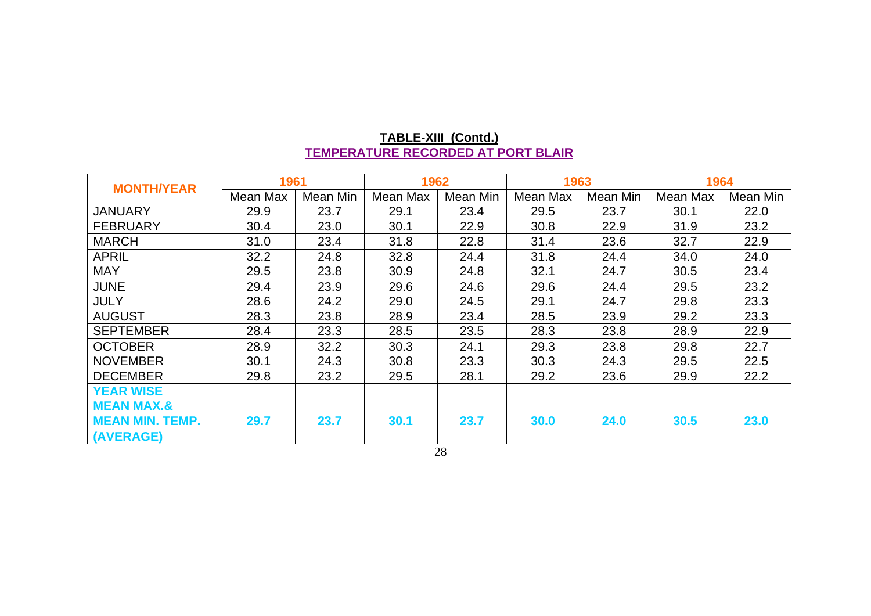| <b>MONTH/YEAR</b>      | 1961     |          | 1962     |          | 1963     |          | 1964     |          |
|------------------------|----------|----------|----------|----------|----------|----------|----------|----------|
|                        | Mean Max | Mean Min | Mean Max | Mean Min | Mean Max | Mean Min | Mean Max | Mean Min |
| <b>JANUARY</b>         | 29.9     | 23.7     | 29.1     | 23.4     | 29.5     | 23.7     | 30.1     | 22.0     |
| <b>FEBRUARY</b>        | 30.4     | 23.0     | 30.1     | 22.9     | 30.8     | 22.9     | 31.9     | 23.2     |
| <b>MARCH</b>           | 31.0     | 23.4     | 31.8     | 22.8     | 31.4     | 23.6     | 32.7     | 22.9     |
| <b>APRIL</b>           | 32.2     | 24.8     | 32.8     | 24.4     | 31.8     | 24.4     | 34.0     | 24.0     |
| <b>MAY</b>             | 29.5     | 23.8     | 30.9     | 24.8     | 32.1     | 24.7     | 30.5     | 23.4     |
| <b>JUNE</b>            | 29.4     | 23.9     | 29.6     | 24.6     | 29.6     | 24.4     | 29.5     | 23.2     |
| <b>JULY</b>            | 28.6     | 24.2     | 29.0     | 24.5     | 29.1     | 24.7     | 29.8     | 23.3     |
| <b>AUGUST</b>          | 28.3     | 23.8     | 28.9     | 23.4     | 28.5     | 23.9     | 29.2     | 23.3     |
| <b>SEPTEMBER</b>       | 28.4     | 23.3     | 28.5     | 23.5     | 28.3     | 23.8     | 28.9     | 22.9     |
| <b>OCTOBER</b>         | 28.9     | 32.2     | 30.3     | 24.1     | 29.3     | 23.8     | 29.8     | 22.7     |
| <b>NOVEMBER</b>        | 30.1     | 24.3     | 30.8     | 23.3     | 30.3     | 24.3     | 29.5     | 22.5     |
| <b>DECEMBER</b>        | 29.8     | 23.2     | 29.5     | 28.1     | 29.2     | 23.6     | 29.9     | 22.2     |
| <b>YEAR WISE</b>       |          |          |          |          |          |          |          |          |
| <b>MEAN MAX.&amp;</b>  |          |          |          |          |          |          |          |          |
| <b>MEAN MIN. TEMP.</b> | 29.7     | 23.7     | 30.1     | 23.7     | 30.0     | 24.0     | 30.5     | 23.0     |
| (AVERAGE)              |          |          |          |          |          |          |          |          |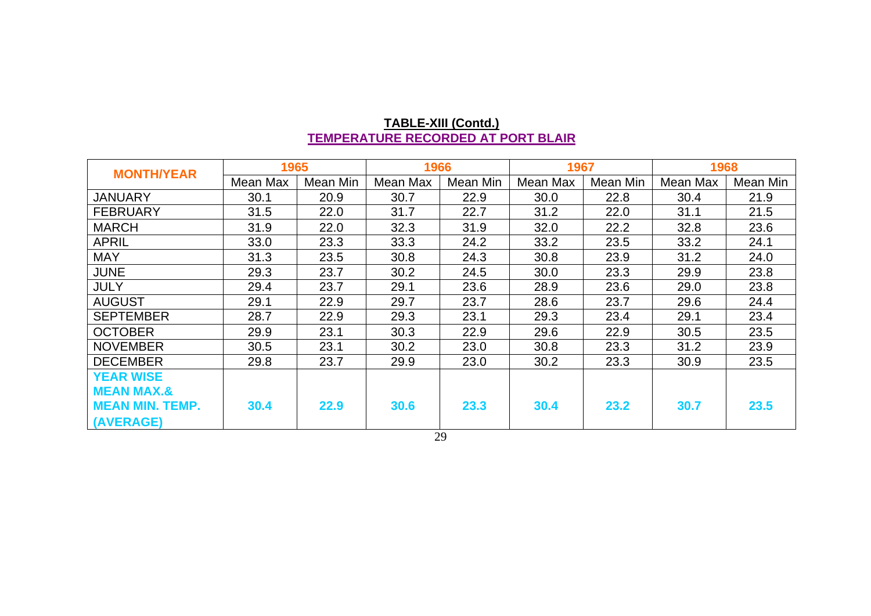| <b>MONTH/YEAR</b>      | 1965     |          | 1966     |          | 1967     |          | 1968     |          |
|------------------------|----------|----------|----------|----------|----------|----------|----------|----------|
|                        | Mean Max | Mean Min | Mean Max | Mean Min | Mean Max | Mean Min | Mean Max | Mean Min |
| <b>JANUARY</b>         | 30.1     | 20.9     | 30.7     | 22.9     | 30.0     | 22.8     | 30.4     | 21.9     |
| <b>FEBRUARY</b>        | 31.5     | 22.0     | 31.7     | 22.7     | 31.2     | 22.0     | 31.1     | 21.5     |
| <b>MARCH</b>           | 31.9     | 22.0     | 32.3     | 31.9     | 32.0     | 22.2     | 32.8     | 23.6     |
| <b>APRIL</b>           | 33.0     | 23.3     | 33.3     | 24.2     | 33.2     | 23.5     | 33.2     | 24.1     |
| <b>MAY</b>             | 31.3     | 23.5     | 30.8     | 24.3     | 30.8     | 23.9     | 31.2     | 24.0     |
| <b>JUNE</b>            | 29.3     | 23.7     | 30.2     | 24.5     | 30.0     | 23.3     | 29.9     | 23.8     |
| <b>JULY</b>            | 29.4     | 23.7     | 29.1     | 23.6     | 28.9     | 23.6     | 29.0     | 23.8     |
| <b>AUGUST</b>          | 29.1     | 22.9     | 29.7     | 23.7     | 28.6     | 23.7     | 29.6     | 24.4     |
| <b>SEPTEMBER</b>       | 28.7     | 22.9     | 29.3     | 23.1     | 29.3     | 23.4     | 29.1     | 23.4     |
| <b>OCTOBER</b>         | 29.9     | 23.1     | 30.3     | 22.9     | 29.6     | 22.9     | 30.5     | 23.5     |
| <b>NOVEMBER</b>        | 30.5     | 23.1     | 30.2     | 23.0     | 30.8     | 23.3     | 31.2     | 23.9     |
| <b>DECEMBER</b>        | 29.8     | 23.7     | 29.9     | 23.0     | 30.2     | 23.3     | 30.9     | 23.5     |
| <b>YEAR WISE</b>       |          |          |          |          |          |          |          |          |
| <b>MEAN MAX.&amp;</b>  |          |          |          |          |          |          |          |          |
| <b>MEAN MIN. TEMP.</b> | 30.4     | 22.9     | 30.6     | 23.3     | 30.4     | 23.2     | 30.7     | 23.5     |
| (AVERAGE)              |          |          |          |          |          |          |          |          |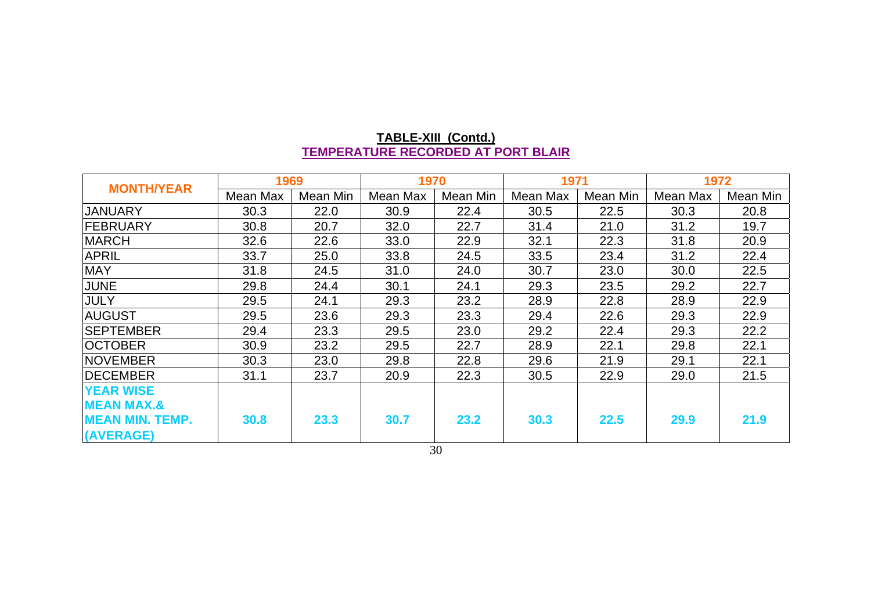| <b>MONTH/YEAR</b>                         | 1969     |          | 1970     |          | 1971     |          | 1972     |          |
|-------------------------------------------|----------|----------|----------|----------|----------|----------|----------|----------|
|                                           | Mean Max | Mean Min | Mean Max | Mean Min | Mean Max | Mean Min | Mean Max | Mean Min |
| <b>JANUARY</b>                            | 30.3     | 22.0     | 30.9     | 22.4     | 30.5     | 22.5     | 30.3     | 20.8     |
| <b>FEBRUARY</b>                           | 30.8     | 20.7     | 32.0     | 22.7     | 31.4     | 21.0     | 31.2     | 19.7     |
| <b>MARCH</b>                              | 32.6     | 22.6     | 33.0     | 22.9     | 32.1     | 22.3     | 31.8     | 20.9     |
| <b>APRIL</b>                              | 33.7     | 25.0     | 33.8     | 24.5     | 33.5     | 23.4     | 31.2     | 22.4     |
| <b>MAY</b>                                | 31.8     | 24.5     | 31.0     | 24.0     | 30.7     | 23.0     | 30.0     | 22.5     |
| <b>JUNE</b>                               | 29.8     | 24.4     | 30.1     | 24.1     | 29.3     | 23.5     | 29.2     | 22.7     |
| <b>JULY</b>                               | 29.5     | 24.1     | 29.3     | 23.2     | 28.9     | 22.8     | 28.9     | 22.9     |
| <b>AUGUST</b>                             | 29.5     | 23.6     | 29.3     | 23.3     | 29.4     | 22.6     | 29.3     | 22.9     |
| <b>SEPTEMBER</b>                          | 29.4     | 23.3     | 29.5     | 23.0     | 29.2     | 22.4     | 29.3     | 22.2     |
| <b>OCTOBER</b>                            | 30.9     | 23.2     | 29.5     | 22.7     | 28.9     | 22.1     | 29.8     | 22.1     |
| INOVEMBER                                 | 30.3     | 23.0     | 29.8     | 22.8     | 29.6     | 21.9     | 29.1     | 22.1     |
| <b>IDECEMBER</b>                          | 31.1     | 23.7     | 20.9     | 22.3     | 30.5     | 22.9     | 29.0     | 21.5     |
| <b>YEAR WISE</b><br><b>MEAN MAX.&amp;</b> |          |          |          |          |          |          |          |          |
| MEAN MIN. TEMP.<br>(AVERAGE)              | 30.8     | 23.3     | 30.7     | 23.2     | 30.3     | 22.5     | 29.9     | 21.9     |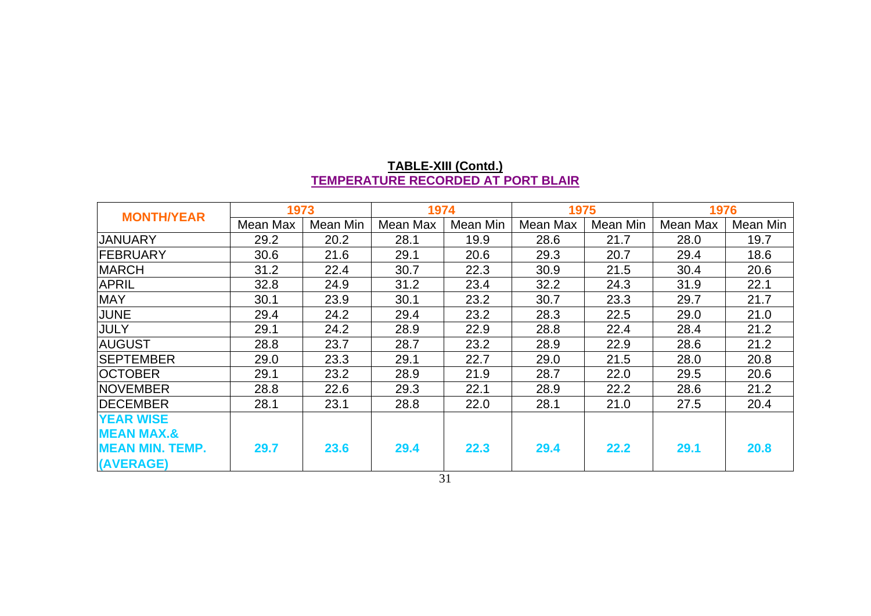| <b>MONTH/YEAR</b>      | 1973     |          | 1974     |          | 1975     |          | 1976     |          |
|------------------------|----------|----------|----------|----------|----------|----------|----------|----------|
|                        | Mean Max | Mean Min | Mean Max | Mean Min | Mean Max | Mean Min | Mean Max | Mean Min |
| <b>JANUARY</b>         | 29.2     | 20.2     | 28.1     | 19.9     | 28.6     | 21.7     | 28.0     | 19.7     |
| <b>FEBRUARY</b>        | 30.6     | 21.6     | 29.1     | 20.6     | 29.3     | 20.7     | 29.4     | 18.6     |
| <b>MARCH</b>           | 31.2     | 22.4     | 30.7     | 22.3     | 30.9     | 21.5     | 30.4     | 20.6     |
| <b>APRIL</b>           | 32.8     | 24.9     | 31.2     | 23.4     | 32.2     | 24.3     | 31.9     | 22.1     |
| <b>MAY</b>             | 30.1     | 23.9     | 30.1     | 23.2     | 30.7     | 23.3     | 29.7     | 21.7     |
| <b>JUNE</b>            | 29.4     | 24.2     | 29.4     | 23.2     | 28.3     | 22.5     | 29.0     | 21.0     |
| JULY                   | 29.1     | 24.2     | 28.9     | 22.9     | 28.8     | 22.4     | 28.4     | 21.2     |
| <b>AUGUST</b>          | 28.8     | 23.7     | 28.7     | 23.2     | 28.9     | 22.9     | 28.6     | 21.2     |
| <b>SEPTEMBER</b>       | 29.0     | 23.3     | 29.1     | 22.7     | 29.0     | 21.5     | 28.0     | 20.8     |
| <b>OCTOBER</b>         | 29.1     | 23.2     | 28.9     | 21.9     | 28.7     | 22.0     | 29.5     | 20.6     |
| <b>INOVEMBER</b>       | 28.8     | 22.6     | 29.3     | 22.1     | 28.9     | 22.2     | 28.6     | 21.2     |
| <b>IDECEMBER</b>       | 28.1     | 23.1     | 28.8     | 22.0     | 28.1     | 21.0     | 27.5     | 20.4     |
| <b>YEAR WISE</b>       |          |          |          |          |          |          |          |          |
| <b>MEAN MAX.&amp;</b>  |          |          |          |          |          |          |          |          |
| <b>MEAN MIN. TEMP.</b> | 29.7     | 23.6     | 29.4     | 22.3     | 29.4     | 22.2     | 29.1     | 20.8     |
| (AVERAGE)              |          |          |          |          |          |          |          |          |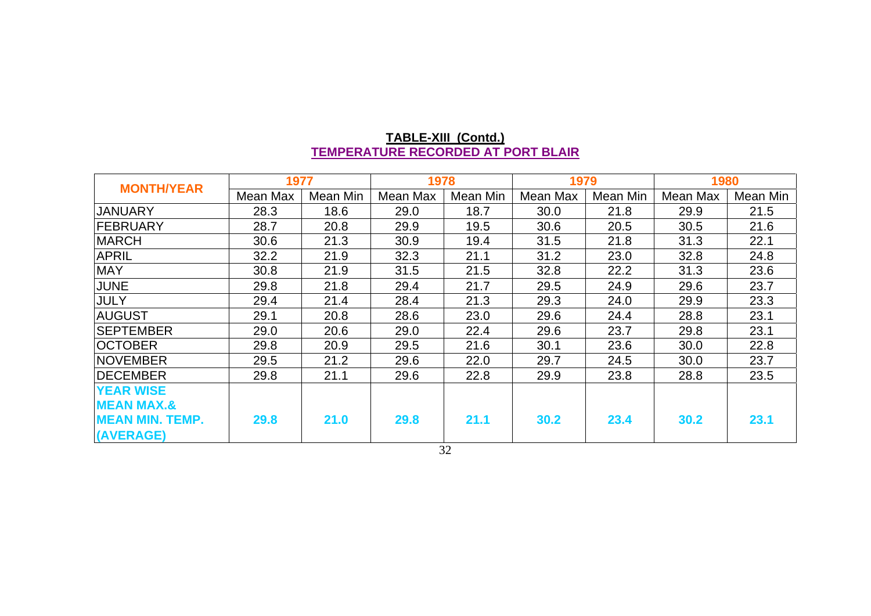| <b>MONTH/YEAR</b>      | 1977     |          | 1978     |          | 1979     |          | 1980     |          |
|------------------------|----------|----------|----------|----------|----------|----------|----------|----------|
|                        | Mean Max | Mean Min | Mean Max | Mean Min | Mean Max | Mean Min | Mean Max | Mean Min |
| JANUARY                | 28.3     | 18.6     | 29.0     | 18.7     | 30.0     | 21.8     | 29.9     | 21.5     |
| <b>FEBRUARY</b>        | 28.7     | 20.8     | 29.9     | 19.5     | 30.6     | 20.5     | 30.5     | 21.6     |
| <b>MARCH</b>           | 30.6     | 21.3     | 30.9     | 19.4     | 31.5     | 21.8     | 31.3     | 22.1     |
| <b>APRIL</b>           | 32.2     | 21.9     | 32.3     | 21.1     | 31.2     | 23.0     | 32.8     | 24.8     |
| <b>MAY</b>             | 30.8     | 21.9     | 31.5     | 21.5     | 32.8     | 22.2     | 31.3     | 23.6     |
| <b>JUNE</b>            | 29.8     | 21.8     | 29.4     | 21.7     | 29.5     | 24.9     | 29.6     | 23.7     |
| <b>JULY</b>            | 29.4     | 21.4     | 28.4     | 21.3     | 29.3     | 24.0     | 29.9     | 23.3     |
| <b>AUGUST</b>          | 29.1     | 20.8     | 28.6     | 23.0     | 29.6     | 24.4     | 28.8     | 23.1     |
| <b>SEPTEMBER</b>       | 29.0     | 20.6     | 29.0     | 22.4     | 29.6     | 23.7     | 29.8     | 23.1     |
| <b>OCTOBER</b>         | 29.8     | 20.9     | 29.5     | 21.6     | 30.1     | 23.6     | 30.0     | 22.8     |
| <b>NOVEMBER</b>        | 29.5     | 21.2     | 29.6     | 22.0     | 29.7     | 24.5     | 30.0     | 23.7     |
| <b>DECEMBER</b>        | 29.8     | 21.1     | 29.6     | 22.8     | 29.9     | 23.8     | 28.8     | 23.5     |
| <b>YEAR WISE</b>       |          |          |          |          |          |          |          |          |
| <b>MEAN MAX.&amp;</b>  |          |          |          |          |          |          |          |          |
| <b>MEAN MIN. TEMP.</b> | 29.8     | 21.0     | 29.8     | 21.1     | 30.2     | 23.4     | 30.2     | 23.1     |
| (AVERAGE)              |          |          |          |          |          |          |          |          |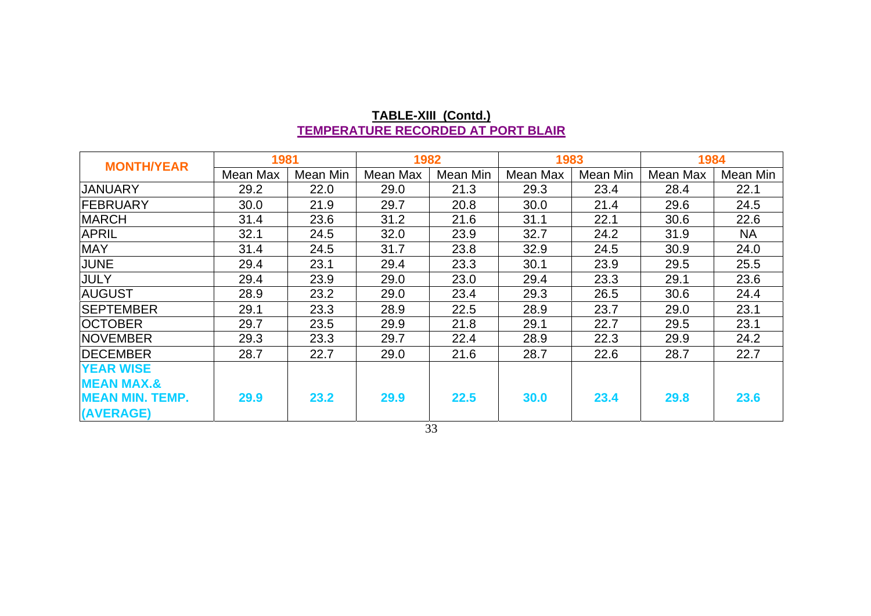| <b>MONTH/YEAR</b>      | 1981     |          |          | 1982<br>1983 |          |          | 1984     |           |
|------------------------|----------|----------|----------|--------------|----------|----------|----------|-----------|
|                        | Mean Max | Mean Min | Mean Max | Mean Min     | Mean Max | Mean Min | Mean Max | Mean Min  |
| <b>JANUARY</b>         | 29.2     | 22.0     | 29.0     | 21.3         | 29.3     | 23.4     | 28.4     | 22.1      |
| <b>FEBRUARY</b>        | 30.0     | 21.9     | 29.7     | 20.8         | 30.0     | 21.4     | 29.6     | 24.5      |
| <b>MARCH</b>           | 31.4     | 23.6     | 31.2     | 21.6         | 31.1     | 22.1     | 30.6     | 22.6      |
| <b>APRIL</b>           | 32.1     | 24.5     | 32.0     | 23.9         | 32.7     | 24.2     | 31.9     | <b>NA</b> |
| <b>MAY</b>             | 31.4     | 24.5     | 31.7     | 23.8         | 32.9     | 24.5     | 30.9     | 24.0      |
| <b>JUNE</b>            | 29.4     | 23.1     | 29.4     | 23.3         | 30.1     | 23.9     | 29.5     | 25.5      |
| <b>JULY</b>            | 29.4     | 23.9     | 29.0     | 23.0         | 29.4     | 23.3     | 29.1     | 23.6      |
| <b>AUGUST</b>          | 28.9     | 23.2     | 29.0     | 23.4         | 29.3     | 26.5     | 30.6     | 24.4      |
| <b>SEPTEMBER</b>       | 29.1     | 23.3     | 28.9     | 22.5         | 28.9     | 23.7     | 29.0     | 23.1      |
| <b>OCTOBER</b>         | 29.7     | 23.5     | 29.9     | 21.8         | 29.1     | 22.7     | 29.5     | 23.1      |
| <b>NOVEMBER</b>        | 29.3     | 23.3     | 29.7     | 22.4         | 28.9     | 22.3     | 29.9     | 24.2      |
| <b>IDECEMBER</b>       | 28.7     | 22.7     | 29.0     | 21.6         | 28.7     | 22.6     | 28.7     | 22.7      |
| <b>YEAR WISE</b>       |          |          |          |              |          |          |          |           |
| <b>MEAN MAX.&amp;</b>  |          |          |          |              |          |          |          |           |
| <b>MEAN MIN. TEMP.</b> | 29.9     | 23.2     | 29.9     | 22.5         | 30.0     | 23.4     | 29.8     | 23.6      |
| (AVERAGE)              |          |          |          |              |          |          |          |           |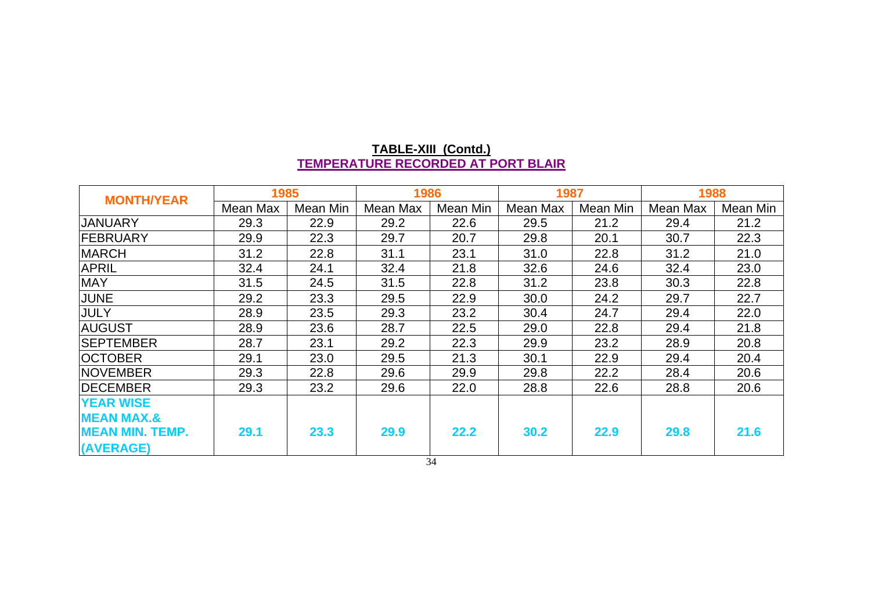| <b>MONTH/YEAR</b>      | 1985     |          | 1986     |           | 1987     |          | 1988     |          |
|------------------------|----------|----------|----------|-----------|----------|----------|----------|----------|
|                        | Mean Max | Mean Min | Mean Max | Mean Min  | Mean Max | Mean Min | Mean Max | Mean Min |
| <b>JANUARY</b>         | 29.3     | 22.9     | 29.2     | 22.6      | 29.5     | 21.2     | 29.4     | 21.2     |
| FEBRUARY               | 29.9     | 22.3     | 29.7     | 20.7      | 29.8     | 20.1     | 30.7     | 22.3     |
| <b>MARCH</b>           | 31.2     | 22.8     | 31.1     | 23.1      | 31.0     | 22.8     | 31.2     | 21.0     |
| <b>APRIL</b>           | 32.4     | 24.1     | 32.4     | 21.8      | 32.6     | 24.6     | 32.4     | 23.0     |
| <b>MAY</b>             | 31.5     | 24.5     | 31.5     | 22.8      | 31.2     | 23.8     | 30.3     | 22.8     |
| JUNE                   | 29.2     | 23.3     | 29.5     | 22.9      | 30.0     | 24.2     | 29.7     | 22.7     |
| <b>JULY</b>            | 28.9     | 23.5     | 29.3     | 23.2      | 30.4     | 24.7     | 29.4     | 22.0     |
| <b>AUGUST</b>          | 28.9     | 23.6     | 28.7     | 22.5      | 29.0     | 22.8     | 29.4     | 21.8     |
| <b>SEPTEMBER</b>       | 28.7     | 23.1     | 29.2     | 22.3      | 29.9     | 23.2     | 28.9     | 20.8     |
| <b>OCTOBER</b>         | 29.1     | 23.0     | 29.5     | 21.3      | 30.1     | 22.9     | 29.4     | 20.4     |
| <b>NOVEMBER</b>        | 29.3     | 22.8     | 29.6     | 29.9      | 29.8     | 22.2     | 28.4     | 20.6     |
| <b>DECEMBER</b>        | 29.3     | 23.2     | 29.6     | 22.0      | 28.8     | 22.6     | 28.8     | 20.6     |
| <b>YEAR WISE</b>       |          |          |          |           |          |          |          |          |
| <b>MEAN MAX.&amp;</b>  |          |          |          |           |          |          |          |          |
| <b>MEAN MIN. TEMP.</b> | 29.1     | 23.3     | 29.9     | 22.2      | 30.2     | 22.9     | 29.8     | 21.6     |
| (AVERAGE)              |          |          |          | $\bigcap$ |          |          |          |          |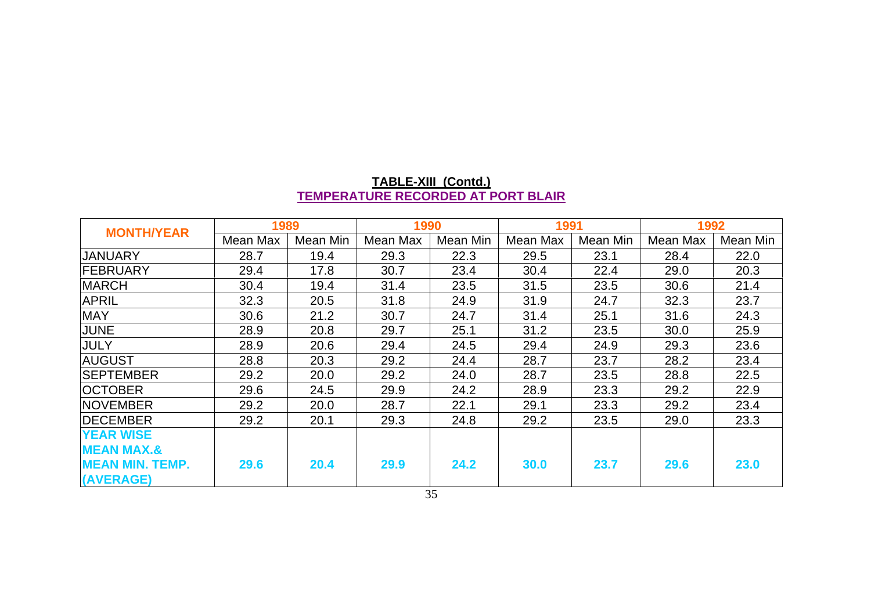| <b>MONTH/YEAR</b>      | 1989     |          | 1990     |          | 1991     |          |          | 1992     |  |
|------------------------|----------|----------|----------|----------|----------|----------|----------|----------|--|
|                        | Mean Max | Mean Min | Mean Max | Mean Min | Mean Max | Mean Min | Mean Max | Mean Min |  |
| <b>JANUARY</b>         | 28.7     | 19.4     | 29.3     | 22.3     | 29.5     | 23.1     | 28.4     | 22.0     |  |
| <b>FEBRUARY</b>        | 29.4     | 17.8     | 30.7     | 23.4     | 30.4     | 22.4     | 29.0     | 20.3     |  |
| <b>MARCH</b>           | 30.4     | 19.4     | 31.4     | 23.5     | 31.5     | 23.5     | 30.6     | 21.4     |  |
| <b>APRIL</b>           | 32.3     | 20.5     | 31.8     | 24.9     | 31.9     | 24.7     | 32.3     | 23.7     |  |
| <b>MAY</b>             | 30.6     | 21.2     | 30.7     | 24.7     | 31.4     | 25.1     | 31.6     | 24.3     |  |
| <b>JUNE</b>            | 28.9     | 20.8     | 29.7     | 25.1     | 31.2     | 23.5     | 30.0     | 25.9     |  |
| JULY                   | 28.9     | 20.6     | 29.4     | 24.5     | 29.4     | 24.9     | 29.3     | 23.6     |  |
| <b>AUGUST</b>          | 28.8     | 20.3     | 29.2     | 24.4     | 28.7     | 23.7     | 28.2     | 23.4     |  |
| <b>SEPTEMBER</b>       | 29.2     | 20.0     | 29.2     | 24.0     | 28.7     | 23.5     | 28.8     | 22.5     |  |
| <b>OCTOBER</b>         | 29.6     | 24.5     | 29.9     | 24.2     | 28.9     | 23.3     | 29.2     | 22.9     |  |
| <b>INOVEMBER</b>       | 29.2     | 20.0     | 28.7     | 22.1     | 29.1     | 23.3     | 29.2     | 23.4     |  |
| <b>IDECEMBER</b>       | 29.2     | 20.1     | 29.3     | 24.8     | 29.2     | 23.5     | 29.0     | 23.3     |  |
| <b>YEAR WISE</b>       |          |          |          |          |          |          |          |          |  |
| <b>MEAN MAX.&amp;</b>  |          |          |          |          |          |          |          |          |  |
| <b>MEAN MIN. TEMP.</b> | 29.6     | 20.4     | 29.9     | 24.2     | 30.0     | 23.7     | 29.6     | 23.0     |  |
| (AVERAGE)              |          |          |          |          |          |          |          |          |  |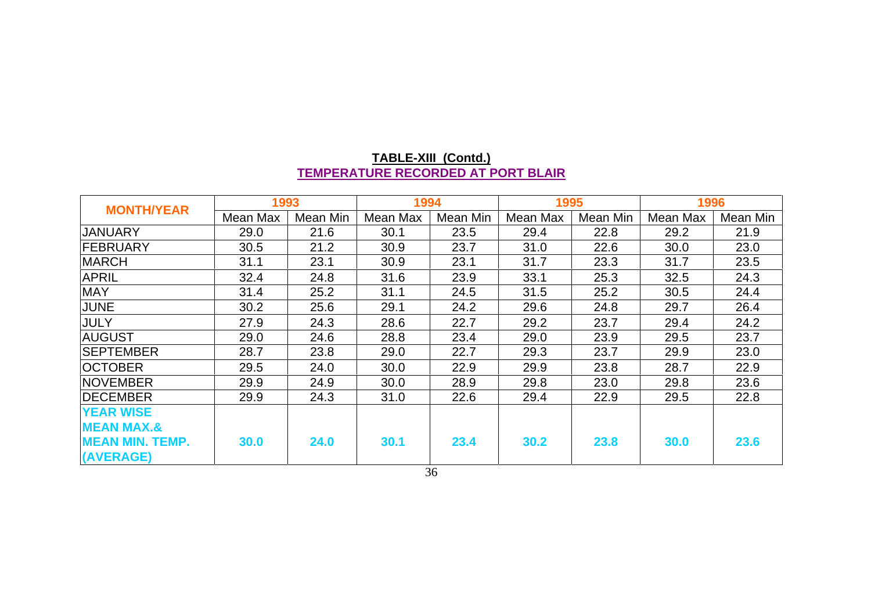| <b>MONTH/YEAR</b>      | 1993     |          | 1994     |          |          | 1995     |          | 1996     |  |
|------------------------|----------|----------|----------|----------|----------|----------|----------|----------|--|
|                        | Mean Max | Mean Min | Mean Max | Mean Min | Mean Max | Mean Min | Mean Max | Mean Min |  |
| <b>JANUARY</b>         | 29.0     | 21.6     | 30.1     | 23.5     | 29.4     | 22.8     | 29.2     | 21.9     |  |
| <b>FEBRUARY</b>        | 30.5     | 21.2     | 30.9     | 23.7     | 31.0     | 22.6     | 30.0     | 23.0     |  |
| <b>MARCH</b>           | 31.1     | 23.1     | 30.9     | 23.1     | 31.7     | 23.3     | 31.7     | 23.5     |  |
| <b>APRIL</b>           | 32.4     | 24.8     | 31.6     | 23.9     | 33.1     | 25.3     | 32.5     | 24.3     |  |
| <b>MAY</b>             | 31.4     | 25.2     | 31.1     | 24.5     | 31.5     | 25.2     | 30.5     | 24.4     |  |
| <b>JUNE</b>            | 30.2     | 25.6     | 29.1     | 24.2     | 29.6     | 24.8     | 29.7     | 26.4     |  |
| JULY                   | 27.9     | 24.3     | 28.6     | 22.7     | 29.2     | 23.7     | 29.4     | 24.2     |  |
| <b>AUGUST</b>          | 29.0     | 24.6     | 28.8     | 23.4     | 29.0     | 23.9     | 29.5     | 23.7     |  |
| <b>SEPTEMBER</b>       | 28.7     | 23.8     | 29.0     | 22.7     | 29.3     | 23.7     | 29.9     | 23.0     |  |
| <b>OCTOBER</b>         | 29.5     | 24.0     | 30.0     | 22.9     | 29.9     | 23.8     | 28.7     | 22.9     |  |
| <b>NOVEMBER</b>        | 29.9     | 24.9     | 30.0     | 28.9     | 29.8     | 23.0     | 29.8     | 23.6     |  |
| <b>DECEMBER</b>        | 29.9     | 24.3     | 31.0     | 22.6     | 29.4     | 22.9     | 29.5     | 22.8     |  |
| <b>YEAR WISE</b>       |          |          |          |          |          |          |          |          |  |
| <b>MEAN MAX.&amp;</b>  |          |          |          |          |          |          |          |          |  |
| <b>MEAN MIN. TEMP.</b> | 30.0     | 24.0     | 30.1     | 23.4     | 30.2     | 23.8     | 30.0     | 23.6     |  |
| (AVERAGE)              |          |          |          |          |          |          |          |          |  |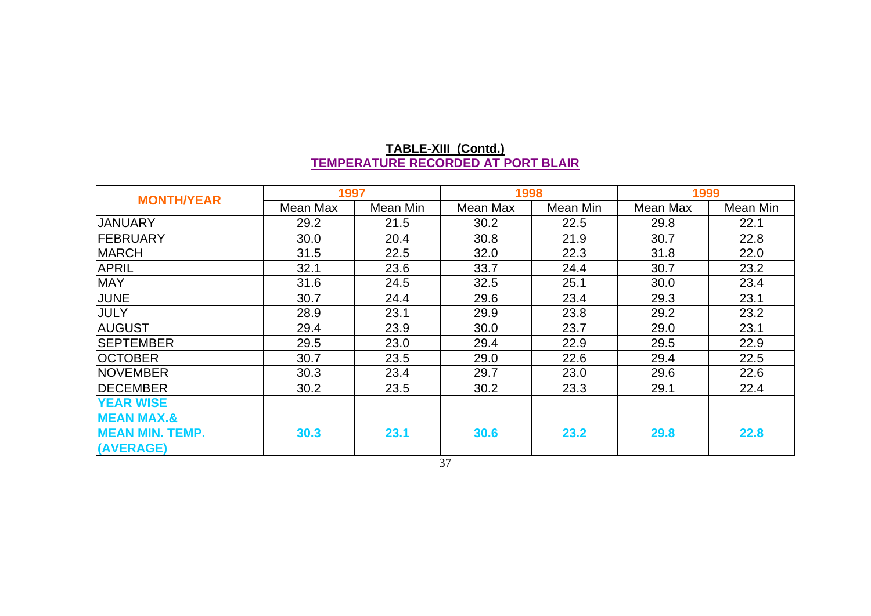| <b>MONTH/YEAR</b>      | 1997     |          | 1998     |          | 1999     |          |  |
|------------------------|----------|----------|----------|----------|----------|----------|--|
|                        | Mean Max | Mean Min | Mean Max | Mean Min | Mean Max | Mean Min |  |
| <b>JANUARY</b>         | 29.2     | 21.5     | 30.2     | 22.5     | 29.8     | 22.1     |  |
| <b>FEBRUARY</b>        | 30.0     | 20.4     | 30.8     | 21.9     | 30.7     | 22.8     |  |
| <b>MARCH</b>           | 31.5     | 22.5     | 32.0     | 22.3     | 31.8     | 22.0     |  |
| <b>APRIL</b>           | 32.1     | 23.6     | 33.7     | 24.4     | 30.7     | 23.2     |  |
| <b>MAY</b>             | 31.6     | 24.5     | 32.5     | 25.1     | 30.0     | 23.4     |  |
| <b>JUNE</b>            | 30.7     | 24.4     | 29.6     | 23.4     | 29.3     | 23.1     |  |
| <b>JULY</b>            | 28.9     | 23.1     | 29.9     | 23.8     | 29.2     | 23.2     |  |
| <b>AUGUST</b>          | 29.4     | 23.9     | 30.0     | 23.7     | 29.0     | 23.1     |  |
| <b>SEPTEMBER</b>       | 29.5     | 23.0     | 29.4     | 22.9     | 29.5     | 22.9     |  |
| <b>OCTOBER</b>         | 30.7     | 23.5     | 29.0     | 22.6     | 29.4     | 22.5     |  |
| <b>NOVEMBER</b>        | 30.3     | 23.4     | 29.7     | 23.0     | 29.6     | 22.6     |  |
| <b>DECEMBER</b>        | 30.2     | 23.5     | 30.2     | 23.3     | 29.1     | 22.4     |  |
| <b>YEAR WISE</b>       |          |          |          |          |          |          |  |
| <b>MEAN MAX.&amp;</b>  |          |          |          |          |          |          |  |
| <b>MEAN MIN. TEMP.</b> | 30.3     | 23.1     | 30.6     | 23.2     | 29.8     | 22.8     |  |
| (AVERAGE)              |          |          | $\sim$   |          |          |          |  |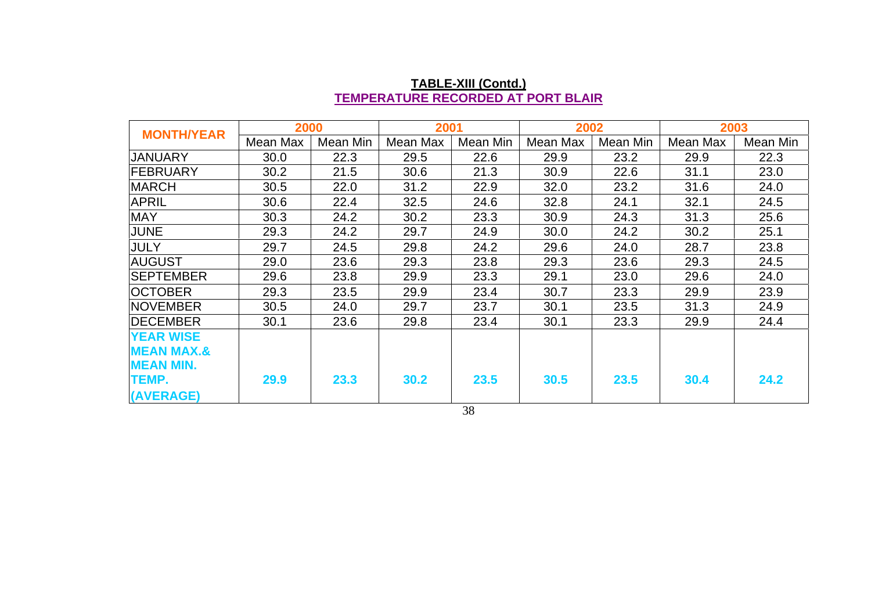| <b>MONTH/YEAR</b>     | 2000     |          | 2001     |          | 2002     |          | 2003     |          |
|-----------------------|----------|----------|----------|----------|----------|----------|----------|----------|
|                       | Mean Max | Mean Min | Mean Max | Mean Min | Mean Max | Mean Min | Mean Max | Mean Min |
| JANUARY               | 30.0     | 22.3     | 29.5     | 22.6     | 29.9     | 23.2     | 29.9     | 22.3     |
| <b>IFEBRUARY</b>      | 30.2     | 21.5     | 30.6     | 21.3     | 30.9     | 22.6     | 31.1     | 23.0     |
| <b>MARCH</b>          | 30.5     | 22.0     | 31.2     | 22.9     | 32.0     | 23.2     | 31.6     | 24.0     |
| <b>APRIL</b>          | 30.6     | 22.4     | 32.5     | 24.6     | 32.8     | 24.1     | 32.1     | 24.5     |
| <b>MAY</b>            | 30.3     | 24.2     | 30.2     | 23.3     | 30.9     | 24.3     | 31.3     | 25.6     |
| <b>JUNE</b>           | 29.3     | 24.2     | 29.7     | 24.9     | 30.0     | 24.2     | 30.2     | 25.1     |
| <b>JULY</b>           | 29.7     | 24.5     | 29.8     | 24.2     | 29.6     | 24.0     | 28.7     | 23.8     |
| <b>AUGUST</b>         | 29.0     | 23.6     | 29.3     | 23.8     | 29.3     | 23.6     | 29.3     | 24.5     |
| <b>SEPTEMBER</b>      | 29.6     | 23.8     | 29.9     | 23.3     | 29.1     | 23.0     | 29.6     | 24.0     |
| <b>OCTOBER</b>        | 29.3     | 23.5     | 29.9     | 23.4     | 30.7     | 23.3     | 29.9     | 23.9     |
| <b>NOVEMBER</b>       | 30.5     | 24.0     | 29.7     | 23.7     | 30.1     | 23.5     | 31.3     | 24.9     |
| <b>IDECEMBER</b>      | 30.1     | 23.6     | 29.8     | 23.4     | 30.1     | 23.3     | 29.9     | 24.4     |
| <b>YEAR WISE</b>      |          |          |          |          |          |          |          |          |
| <b>MEAN MAX.&amp;</b> |          |          |          |          |          |          |          |          |
| <b>MEAN MIN.</b>      |          |          |          |          |          |          |          |          |
| <b>TEMP.</b>          | 29.9     | 23.3     | 30.2     | 23.5     | 30.5     | 23.5     | 30.4     | 24.2     |
| (AVERAGE)             |          |          |          |          |          |          |          |          |